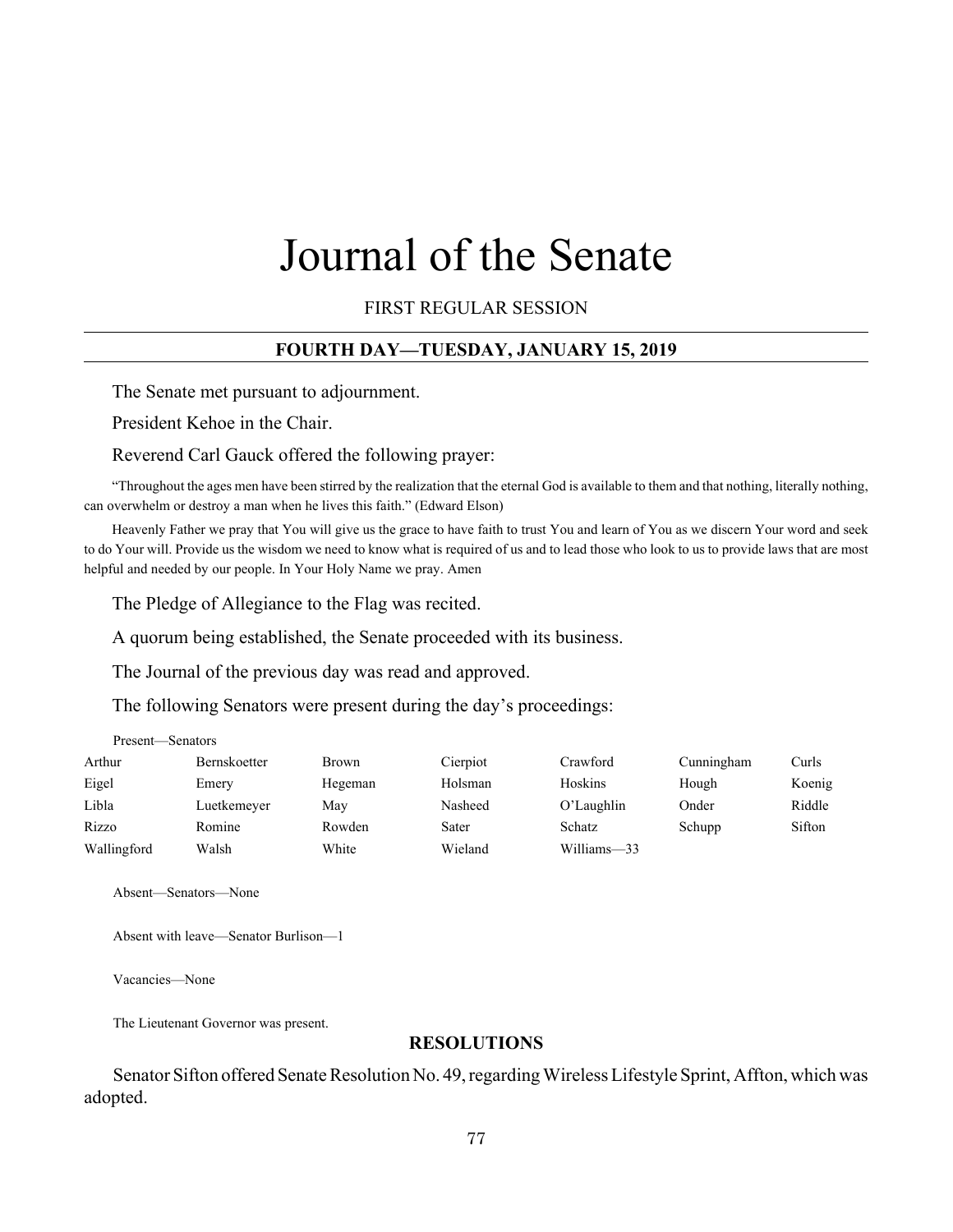# Journal of the Senate

FIRST REGULAR SESSION

## **FOURTH DAY—TUESDAY, JANUARY 15, 2019**

The Senate met pursuant to adjournment.

President Kehoe in the Chair.

Reverend Carl Gauck offered the following prayer:

"Throughout the ages men have been stirred by the realization that the eternal God is available to them and that nothing, literally nothing, can overwhelm or destroy a man when he lives this faith." (Edward Elson)

Heavenly Father we pray that You will give us the grace to have faith to trust You and learn of You as we discern Your word and seek to do Your will. Provide us the wisdom we need to know what is required of us and to lead those who look to us to provide laws that are most helpful and needed by our people. In Your Holy Name we pray. Amen

The Pledge of Allegiance to the Flag was recited.

A quorum being established, the Senate proceeded with its business.

The Journal of the previous day was read and approved.

The following Senators were present during the day's proceedings:

| Present—Senators |              |              |          |             |            |        |  |
|------------------|--------------|--------------|----------|-------------|------------|--------|--|
| Arthur           | Bernskoetter | <b>Brown</b> | Cierpiot | Crawford    | Cunningham | Curls  |  |
| Eigel            | Emery        | Hegeman      | Holsman  | Hoskins     | Hough      | Koenig |  |
| Libla            | Luetkemeyer  | May          | Nasheed  | O'Laughlin  | Onder      | Riddle |  |
| Rizzo            | Romine       | Rowden       | Sater    | Schatz      | Schupp     | Sifton |  |
| Wallingford      | Walsh        | White        | Wieland  | Williams-33 |            |        |  |

Absent—Senators—None

Absent with leave—Senator Burlison—1

Vacancies—None

The Lieutenant Governor was present.

#### **RESOLUTIONS**

Senator Sifton offered Senate Resolution No. 49, regarding Wireless Lifestyle Sprint, Affton, which was adopted.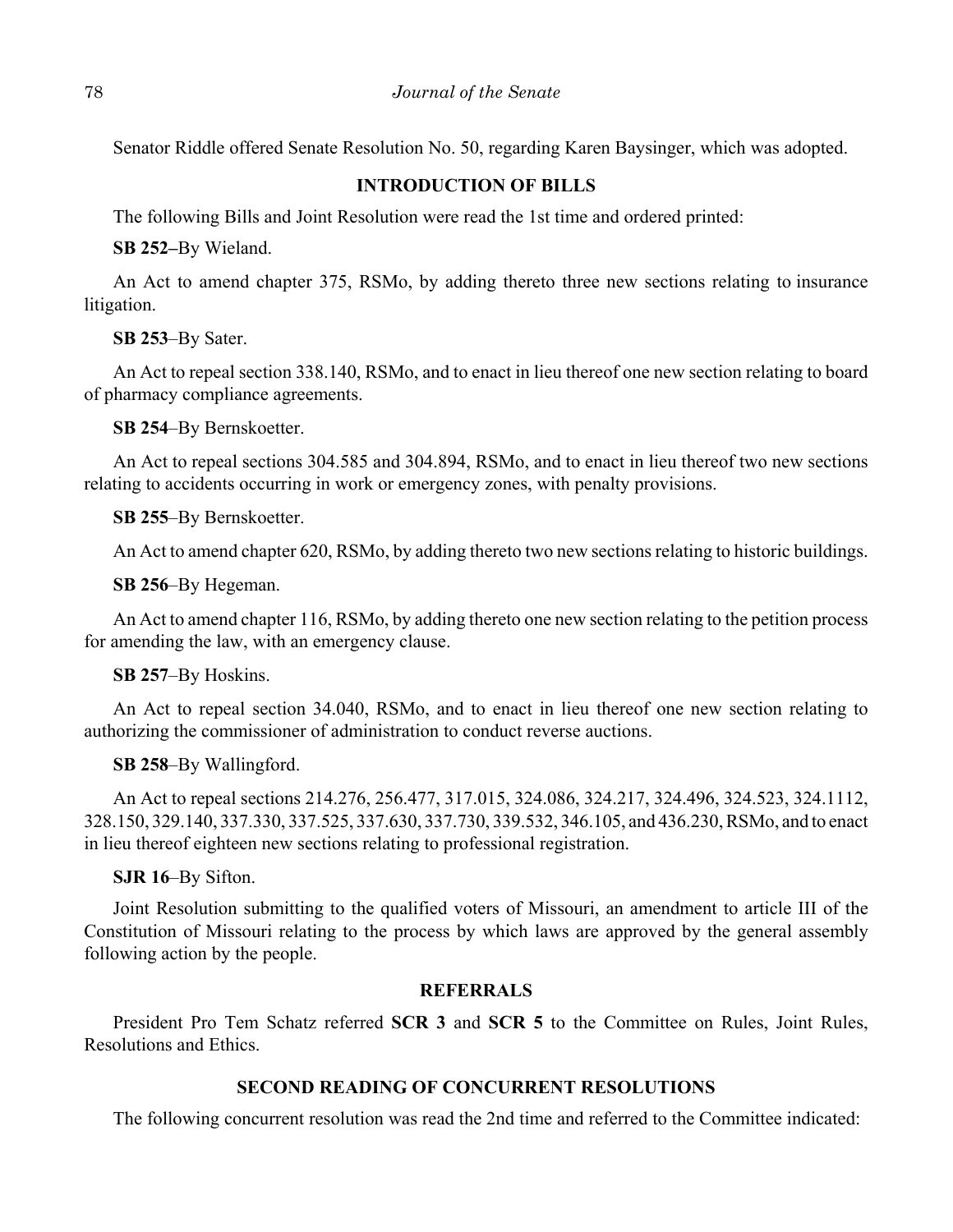Senator Riddle offered Senate Resolution No. 50, regarding Karen Baysinger, which was adopted.

## **INTRODUCTION OF BILLS**

The following Bills and Joint Resolution were read the 1st time and ordered printed:

**SB 252–**By Wieland.

 An Act to amend chapter 375, RSMo, by adding thereto three new sections relating to insurance litigation.

**SB 253**–By Sater.

An Act to repeal section 338.140, RSMo, and to enact in lieu thereof one new section relating to board of pharmacy compliance agreements.

**SB 254**–By Bernskoetter.

An Act to repeal sections 304.585 and 304.894, RSMo, and to enact in lieu thereof two new sections relating to accidents occurring in work or emergency zones, with penalty provisions.

**SB 255**–By Bernskoetter.

An Act to amend chapter 620, RSMo, by adding thereto two new sections relating to historic buildings.

**SB 256**–By Hegeman.

An Act to amend chapter 116, RSMo, by adding thereto one new section relating to the petition process for amending the law, with an emergency clause.

**SB 257**–By Hoskins.

An Act to repeal section 34.040, RSMo, and to enact in lieu thereof one new section relating to authorizing the commissioner of administration to conduct reverse auctions.

**SB 258**–By Wallingford.

An Act to repeal sections 214.276, 256.477, 317.015, 324.086, 324.217, 324.496, 324.523, 324.1112, 328.150, 329.140, 337.330, 337.525, 337.630, 337.730, 339.532, 346.105, and 436.230, RSMo, and to enact in lieu thereof eighteen new sections relating to professional registration.

**SJR 16**–By Sifton.

Joint Resolution submitting to the qualified voters of Missouri, an amendment to article III of the Constitution of Missouri relating to the process by which laws are approved by the general assembly following action by the people.

## **REFERRALS**

President Pro Tem Schatz referred **SCR 3** and **SCR 5** to the Committee on Rules, Joint Rules, Resolutions and Ethics.

# **SECOND READING OF CONCURRENT RESOLUTIONS**

The following concurrent resolution was read the 2nd time and referred to the Committee indicated: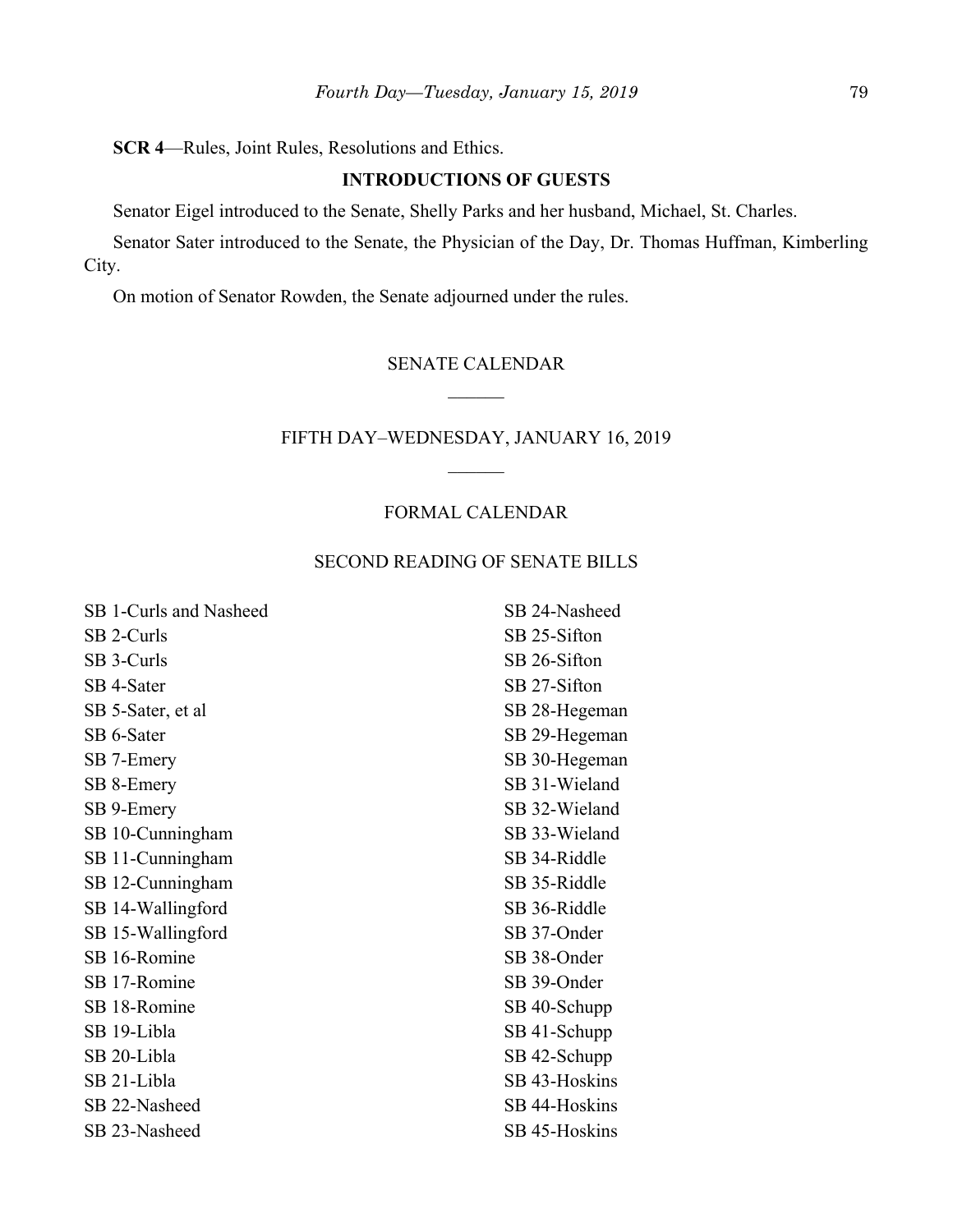# **SCR 4**—Rules, Joint Rules, Resolutions and Ethics.

# **INTRODUCTIONS OF GUESTS**

Senator Eigel introduced to the Senate, Shelly Parks and her husband, Michael, St. Charles.

Senator Sater introduced to the Senate, the Physician of the Day, Dr. Thomas Huffman, Kimberling City.

On motion of Senator Rowden, the Senate adjourned under the rules.

# SENATE CALENDAR  $\mathcal{L}$

## FIFTH DAY–WEDNESDAY, JANUARY 16, 2019

#### FORMAL CALENDAR

# SECOND READING OF SENATE BILLS

| SB 1-Curls and Nasheed | SB 24-Nasheed |
|------------------------|---------------|
| SB 2-Curls             | SB 25-Sifton  |
| SB 3-Curls             | SB 26-Sifton  |
| SB 4-Sater             | SB 27-Sifton  |
| SB 5-Sater, et al      | SB 28-Hegeman |
| SB 6-Sater             | SB 29-Hegeman |
| SB 7-Emery             | SB 30-Hegeman |
| SB 8-Emery             | SB 31-Wieland |
| SB 9-Emery             | SB 32-Wieland |
| SB 10-Cunningham       | SB 33-Wieland |
| SB 11-Cunningham       | SB 34-Riddle  |
| SB 12-Cunningham       | SB 35-Riddle  |
| SB 14-Wallingford      | SB 36-Riddle  |
| SB 15-Wallingford      | SB 37-Onder   |
| SB 16-Romine           | SB 38-Onder   |
| SB 17-Romine           | SB 39-Onder   |
| SB 18-Romine           | SB 40-Schupp  |
| SB 19-Libla            | SB 41-Schupp  |
| SB 20-Libla            | SB 42-Schupp  |
| SB 21-Libla            | SB 43-Hoskins |
| SB 22-Nasheed          | SB 44-Hoskins |
| SB 23-Nasheed          | SB 45-Hoskins |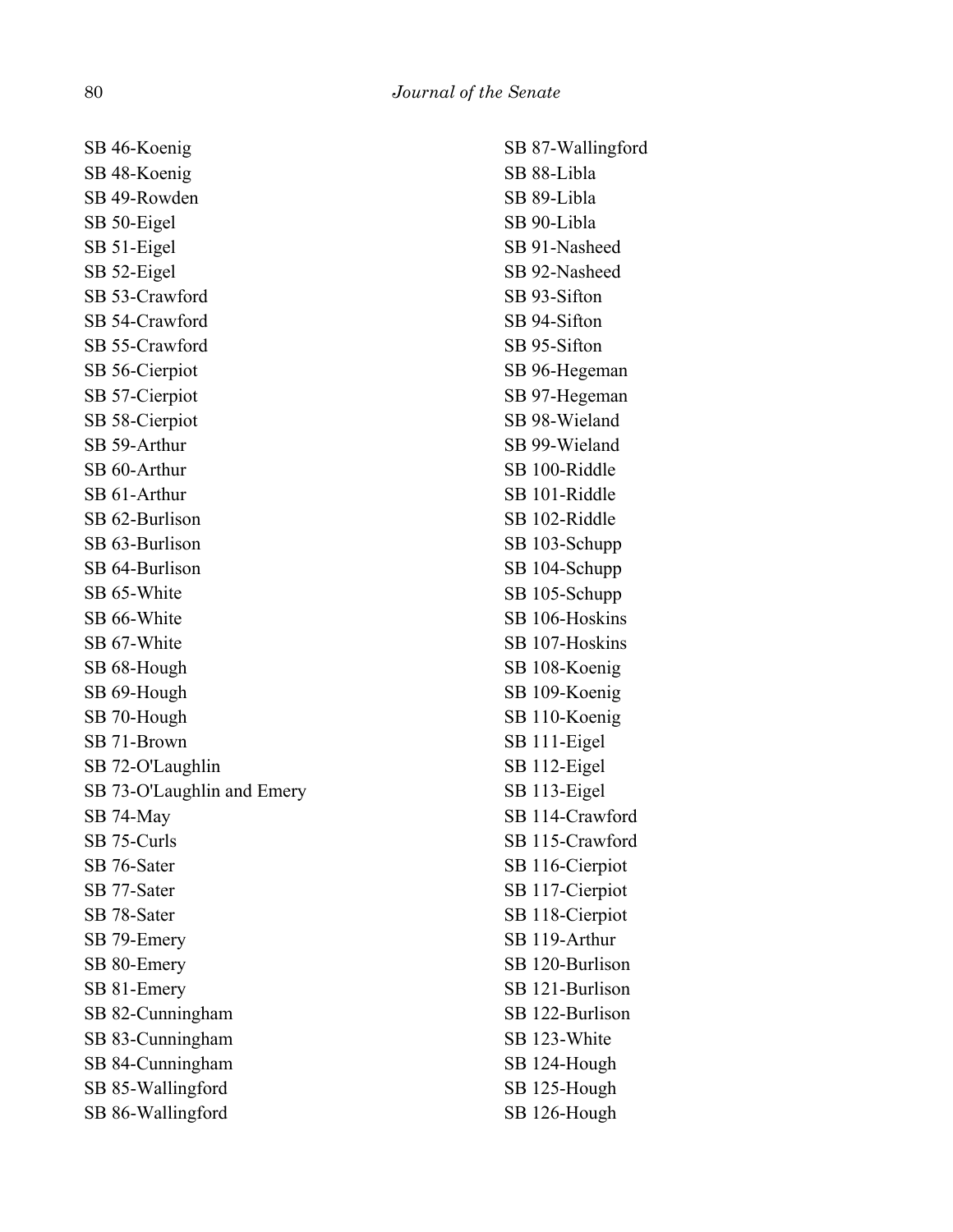SB 46-Koenig SB 48-Koenig SB 49-Rowden SB 50-Eigel SB 51-Eigel SB 52-Eigel SB 53-Crawford SB 54-Crawford SB 55-Crawford SB 56-Cierpiot SB 57-Cierpiot SB 58-Cierpiot SB 59-Arthur SB 60-Arthur SB 61-Arthur SB 62-Burlison SB 63-Burlison SB 64-Burlison SB 65-White SB 66-White SB 67-White SB 68-Hough SB 69-Hough SB 70-Hough SB 71-Brown SB 72-O'Laughlin SB 73-O'Laughlin and Emery SB 74-May SB 75-Curls SB 76-Sater SB 77-Sater SB 78-Sater SB 79-Emery SB 80-Emery SB 81-Emery SB 82-Cunningham SB 83-Cunningham SB 84-Cunningham SB 85-Wallingford SB 86-Wallingford

SB 87-Wallingford SB 88-Libla SB 89-Libla SB 90-Libla SB 91-Nasheed SB 92-Nasheed SB 93-Sifton SB 94-Sifton SB 95-Sifton SB 96-Hegeman SB 97-Hegeman SB 98-Wieland SB 99-Wieland SB 100-Riddle SB 101-Riddle SB 102-Riddle SB 103-Schupp SB 104-Schupp SB 105-Schupp SB 106-Hoskins SB 107-Hoskins SB 108-Koenig SB 109-Koenig SB 110-Koenig SB 111-Eigel SB 112-Eigel SB 113-Eigel SB 114-Crawford SB 115-Crawford SB 116-Cierpiot SB 117-Cierpiot SB 118-Cierpiot SB 119-Arthur SB 120-Burlison SB 121-Burlison SB 122-Burlison SB 123-White SB 124-Hough SB 125-Hough SB 126-Hough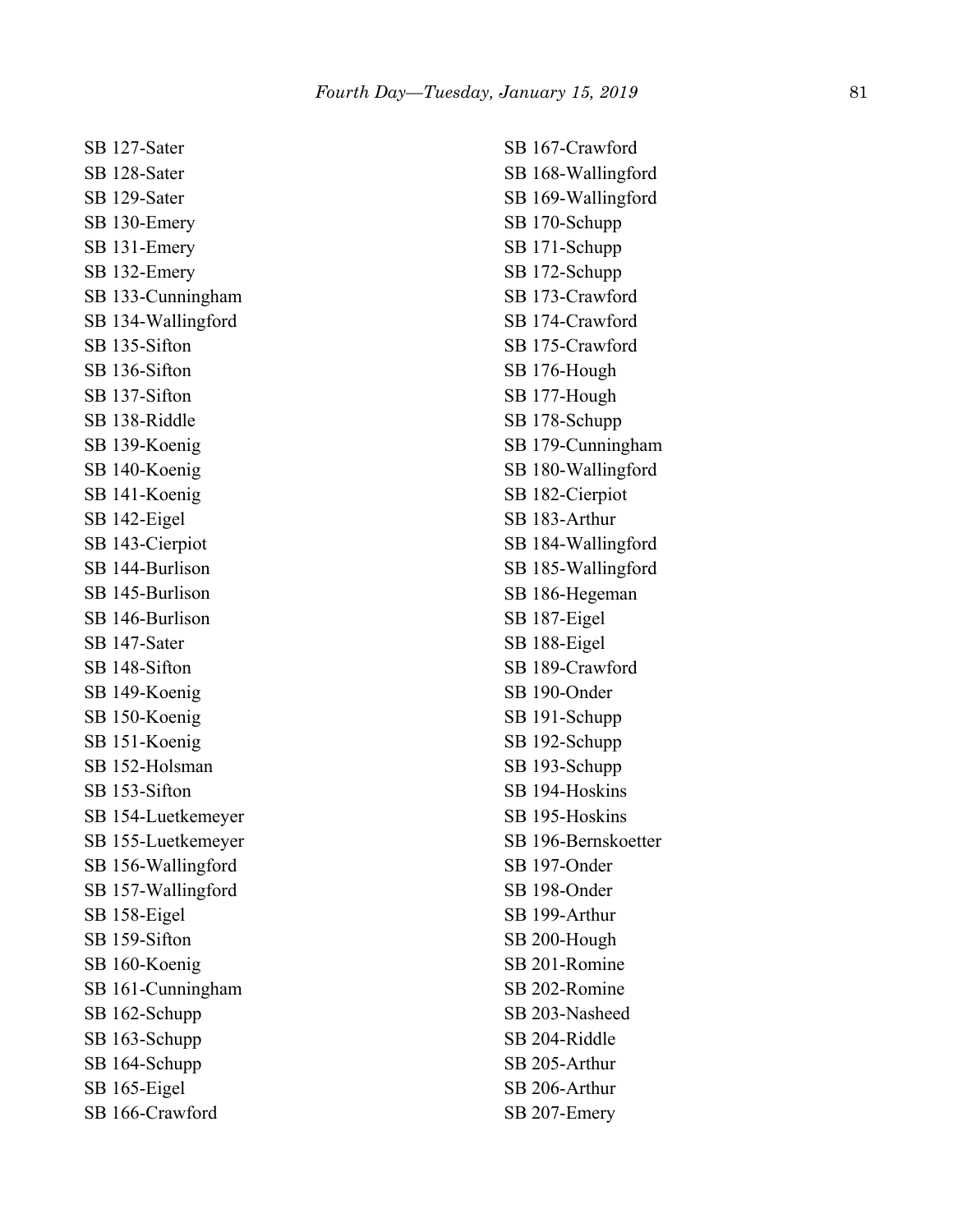SB 127-Sater SB 128-Sater SB 129-Sater SB 130-Emery SB 131-Emery SB 132-Emery SB 133-Cunningham SB 134-Wallingford SB 135-Sifton SB 136-Sifton SB 137-Sifton SB 138-Riddle SB 139-Koenig SB 140-Koenig SB 141-Koenig SB 142-Eigel SB 143-Cierpiot SB 144-Burlison SB 145-Burlison SB 146-Burlison SB 147-Sater SB 148-Sifton SB 149-Koenig SB 150-Koenig SB 151-Koenig SB 152-Holsman SB 153-Sifton SB 154-Luetkemeyer SB 155-Luetkemeyer SB 156-Wallingford SB 157-Wallingford SB 158-Eigel SB 159-Sifton SB 160-Koenig SB 161-Cunningham SB 162-Schupp SB 163-Schupp SB 164-Schupp SB 165-Eigel SB 166-Crawford

SB 167-Crawford SB 168-Wallingford SB 169-Wallingford SB 170-Schupp SB 171-Schupp SB 172-Schupp SB 173-Crawford SB 174-Crawford SB 175-Crawford SB 176-Hough SB 177-Hough SB 178-Schupp SB 179-Cunningham SB 180-Wallingford SB 182-Cierpiot SB 183-Arthur SB 184-Wallingford SB 185-Wallingford SB 186-Hegeman SB 187-Eigel SB 188-Eigel SB 189-Crawford SB 190-Onder SB 191-Schupp SB 192-Schupp SB 193-Schupp SB 194-Hoskins SB 195-Hoskins SB 196-Bernskoetter SB 197-Onder SB 198-Onder SB 199-Arthur SB 200-Hough SB 201-Romine SB 202-Romine SB 203-Nasheed SB 204-Riddle SB 205-Arthur SB 206-Arthur SB 207-Emery